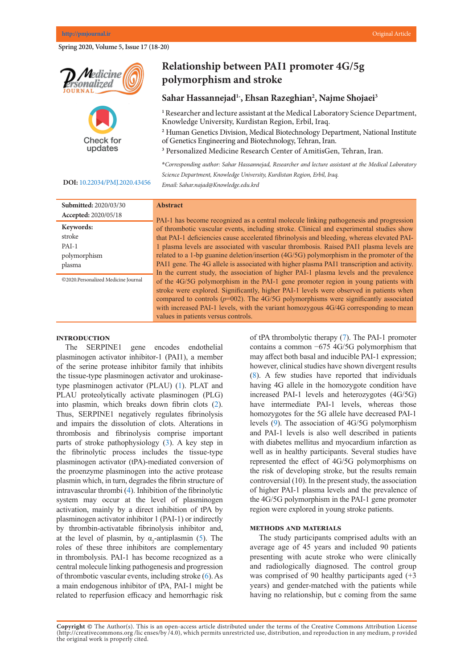Spring 2020, Volume 5, Issue 17 (18-20)





# **Relationship between PAI1 promoter 4G/5g** polymorphism and stroke

### **Sahar Hassannejad1\* , Ehsan Razeghian2 , Najme Shojaei3**

**1** Researcher and lecture assistant at the Medical Laboratory Science Department, Knowledge University, Kurdistan Region, Erbil, Iraq.

<sup>1</sup> Personalized Medicine Research Center of AmitisGen, Tehran, Iran **2** Human Genetics Division, Medical Biotechnology Department, National Institute *\*Corresponding author: Mohammad Ali Saremi, Personalized Medicine Research*  of Genetics Engineering and Biotechnology, Tehran, Iran.

<sup>3</sup> Personalized Medicine Research Center of AmitisGen, Tehran, Iran.

**\****Corresponding author: Sahar Hassannejad, Researcher and lecture assistant at the Medical Laboratory Science Department, Knowledge University, Kurdistan Region, Erbil, Iraq.* 

**DOI:** [10.22034/PMJ.2020.43456](http://www.pmjournal.ir/article_43456.html) **Abstract** *Email: Sahar.najad@Knowledge.edu.krd*  $\mathcal{L}$  is the deadlinest cancer in Iran after gastric cancer in Iran after gastric cancer. The vast majority (85%) (85%) (85%) (85%) (85%) (85%) (85%) (85%) (85%) (85%) (85%) (85%) (85%) (85%) (85%) (85%) (85%) (85%) (8

| <b>Submitted: 2020/03/30</b>        | <b>Abstract</b>                                                                            |
|-------------------------------------|--------------------------------------------------------------------------------------------|
| Accepted: 2020/05/18                | PAI-1 has become recognized as a central molecule linking pathogenesis and progression     |
| Keywords:                           | of thrombotic vascular events, including stroke. Clinical and experimental studies show    |
| stroke                              | that PAI-1 deficiencies cause accelerated fibrinolysis and bleeding, whereas elevated PAI- |
| $PAI-1$                             | 1 plasma levels are associated with vascular thrombosis. Raised PAI1 plasma levels are     |
| polymorphism                        | related to a 1-bp guanine deletion/insertion (4G/5G) polymorphism in the promoter of the   |
| plasma                              | PAI1 gene. The 4G allele is associated with higher plasma PAI1 transcription and activity. |
|                                     | In the current study, the association of higher PAI-1 plasma levels and the prevalence     |
| ©2020.Personalized Medicine Journal | of the 4G/5G polymorphism in the PAI-1 gene promoter region in young patients with         |
|                                     | stroke were explored. Significantly, higher PAI-1 levels were observed in patients when    |
|                                     | compared to controls $(p=002)$ . The 4G/5G polymorphisms were significantly associated     |
|                                     | with increased PAI-1 levels, with the variant homozygous 4G/4G corresponding to mean       |
|                                     | values in patients versus controls.                                                        |

#### **Introduction**

The SERPINE1 gene encodes endothelial plasminogen activator inhibitor-1 (PAI1), a member of the serine protease inhibitor family that inhibits the tissue-type plasminogen activator and urokinase-type plasminogen activator (PLAU) ([1](#page-2-0)). PLAT and PLAU proteolytically activate plasminogen (PLG) into plasmin, which breaks down fibrin clots ([2\)](#page-2-0). Thus, SERPINE1 negatively regulates fibrinolysis and impairs the dissolution of clots. Alterations in thrombosis and fibrinolysis comprise important parts of stroke pathophysiology  $(3)$  $(3)$  $(3)$ . A key step in the fibrinolytic process includes the tissue-type plasminogen activator (tPA)-mediated conversion of the proenzyme plasminogen into the active protease plasmin which, in turn, degrades the fibrin structure of  $intravascular$  thrombi ([4](#page-2-0)). Inhibition of the fibrinolytic system may occur at the level of plasminogen activation, mainly by a direct inhibition of tPA by plasminogen activator inhibitor 1 (PAI-1) or indirectly by thrombin-activatable fibrinolysis inhibitor and, at the level of plasmin, by  $\alpha_2$ -antiplasmin ([5](#page-2-0)). The roles of these three inhibitors are complementary in thrombolysis. PAI-1 has become recognized as a central molecule linking pathogenesis and progression of thrombotic vascular events, including stroke  $(6)$  $(6)$ . As a main endogenous inhibitor of tPA, PAI-1 might be related to reperfusion efficacy and hemorrhagic risk

of tPA thrombolytic therapy ([7](#page-2-0)). The PAI-1 promoter contains a common −675 4G/5G polymorphism that may affect both basal and inducible PAI-1 expression; however, clinical studies have shown divergent results  $(8)$  $(8)$ . A few studies have reported that individuals having 4G allele in the homozygote condition have increased PAI-1 levels and heterozygotes (4G/5G) have intermediate PAI-1 levels, whereas those homozygotes for the 5G allele have decreased PAI-1 levels [\(9](#page-2-0)). The association of 4G/5G polymorphism and PAI-1 levels is also well described in patients with diabetes mellitus and myocardium infarction as well as in healthy participants. Several studies have represented the effect of 4G/5G polymorphisms on the risk of developing stroke, but the results remain controversial  $(10)$ . In the present study, the association of higher PAI-1 plasma levels and the prevalence of the 4G/5G polymorphism in the PAI-1 gene promoter region were explored in young stroke patients.

## **METHODS AND MATERIALS**

The study participants comprised adults with an average age of 45 years and included 90 patients presenting with acute stroke who were clinically and radiologically diagnosed. The control group was comprised of 90 healthy participants aged  $(+3)$ years) and gender-matched with the patients while having no relationship, but c coming from the same

Copyright @ The Author(s). This is an open-access article distributed under the terms of the Creative Commons Attribution License (http://creativecommons.org/licenses/by/4.0), which permits unrestricted use, distribution, and reproduction in any medium, p rovided the original work is properly cited.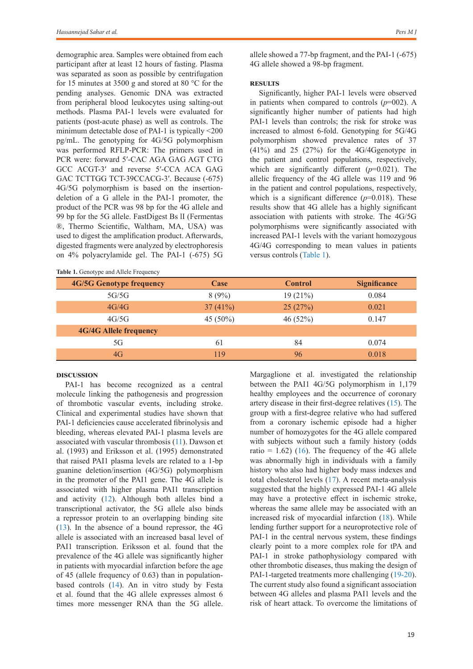demographic area. Samples were obtained from each participant after at least 12 hours of fasting. Plasma was separated as soon as possible by centrifugation for 15 minutes at 3500 g and stored at 80 °C for the pending analyses. Genomic DNA was extracted from peripheral blood leukocytes using salting-out methods. Plasma PAI-1 levels were evaluated for patients (post-acute phase) as well as controls. The minimum detectable dose of PAI-1 is typically <200 pg/mL. The genotyping for 4G/5G polymorphism was performed RFLP-PCR: The primers used in PCR were: forward 5′-CAC AGA GAG AGT CTG GCC ACGT-3′ and reverse 5′-CCA ACA GAG GAC TCTTGG TCT-39CCACG-3′. Because (-675) 4G/5G polymorphism is based on the insertiondeletion of a G allele in the PAI-1 promoter, the product of the PCR was 98 bp for the 4G allele and 99 bp for the 5G allele. FastDigest Bs lI (Fermentas ®, Thermo Scientific, Waltham, MA, USA) was used to digest the amplification product. Afterwards, digested fragments were analyzed by electrophoresis on 4% polyacrylamide gel. The PAI-1 (-675) 5G

allele showed a 77-bp fragment, and the PAI-1 (-675) 4G allele showed a 98-bp fragment.

#### **Results**

Significantly, higher PAI-1 levels were observed in patients when compared to controls  $(p=002)$ . A significantly higher number of patients had high PAI-1 levels than controls; the risk for stroke was increased to almost 6-fold. Genotyping for 5G/4G polymorphism showed prevalence rates of 37 (41%) and 25 (27%) for the 4G/4Ggenotype in the patient and control populations, respectively, which are significantly different (*p*=0.021). The allelic frequency of the 4G allele was 119 and 96 in the patient and control populations, respectively, which is a significant difference  $(p=0.018)$ . These results show that 4G allele has a highly significant association with patients with stroke. The 4G/5G polymorphisms were significantly associated with increased PAI-1 levels with the variant homozygous 4G/4G corresponding to mean values in patients versus controls ([Table 1](#page-1-0)).

<span id="page-1-0"></span>

| Table 1. Genotype and Allele Frequency |          |                |                     |  |
|----------------------------------------|----------|----------------|---------------------|--|
| <b>4G/5G Genotype frequency</b>        | Case     | <b>Control</b> | <b>Significance</b> |  |
| 5G/5G                                  | 8(9%)    | 19(21%)        | 0.084               |  |
| 4G/4G                                  | 37(41%)  | 25(27%)        | 0.021               |  |
| 4G/5G                                  | 45 (50%) | 46 $(52%)$     | 0.147               |  |
| <b>4G/4G Allele frequency</b>          |          |                |                     |  |
| 5G                                     | 61       | 84             | 0.074               |  |
| 4G                                     | 119      | 96             | 0.018               |  |

## **Discussion**

PAI-1 has become recognized as a central molecule linking the pathogenesis and progression of thrombotic vascular events, including stroke. Clinical and experimental studies have shown that PAI-1 deficiencies cause accelerated fibrinolysis and bleeding, whereas elevated PAI-1 plasma levels are associated with vascular thrombosis [\(11](#page-2-0)). Dawson et al. (1993) and Eriksson et al. (1995) demonstrated that raised PAI1 plasma levels are related to a 1-bp guanine deletion/insertion (4G/5G) polymorphism in the promoter of the PAI1 gene. The 4G allele is associated with higher plasma PAI1 transcription and activity ([12](#page-2-0)). Although both alleles bind a transcriptional activator, the 5G allele also binds a repressor protein to an overlapping binding site [\(13](#page-2-0)). In the absence of a bound repressor, the 4G allele is associated with an increased basal level of PAI1 transcription. Eriksson et al. found that the prevalence of the 4G allele was significantly higher in patients with myocardial infarction before the age of 45 (allele frequency of 0.63) than in populationbased controls [\(14](#page-2-0)). An in vitro study by Festa et al. found that the 4G allele expresses almost 6 times more messenger RNA than the 5G allele.

Margaglione et al. investigated the relationship between the PAI1 4G/5G polymorphism in 1,179 healthy employees and the occurrence of coronary artery disease in their first-degree relatives ([15\)](#page-2-0). The group with a first-degree relative who had suffered from a coronary ischemic episode had a higher number of homozygotes for the 4G allele compared with subjects without such a family history (odds ratio = 1.62) ([16](#page-2-0)). The frequency of the 4G allele was abnormally high in individuals with a family history who also had higher body mass indexes and total cholesterol levels [\(17](#page-2-0)). A recent meta-analysis suggested that the highly expressed PAI-1 4G allele may have a protective effect in ischemic stroke, whereas the same allele may be associated with an increased risk of myocardial infarction ([18](#page-2-0)). While lending further support for a neuroprotective role of PAI-1 in the central nervous system, these findings clearly point to a more complex role for tPA and PAI-1 in stroke pathophysiology compared with other thrombotic diseases, thus making the design of PAI-1-targeted treatments more challenging [\(19-20\)](#page-2-0). The current study also found a significant association between 4G alleles and plasma PAI1 levels and the risk of heart attack. To overcome the limitations of

#### 19